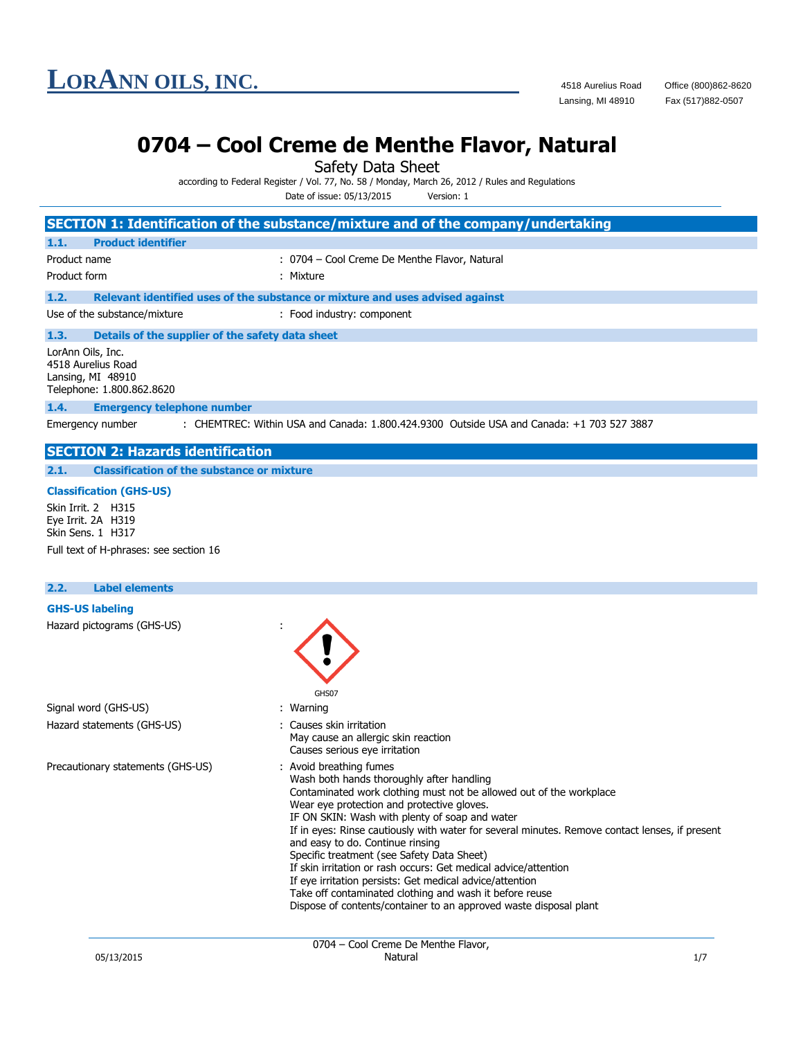## **0704 – Cool Creme de Menthe Flavor, Natural**

Safety Data Sheet

according to Federal Register / Vol. 77, No. 58 / Monday, March 26, 2012 / Rules and Regulations

Date of issue: 05/13/2015 Version: 1

|                                                                                           | SECTION 1: Identification of the substance/mixture and of the company/undertaking                                                                                                                                                                                                                                                                                                                                                                                                                                                                                                                                                                                                              |
|-------------------------------------------------------------------------------------------|------------------------------------------------------------------------------------------------------------------------------------------------------------------------------------------------------------------------------------------------------------------------------------------------------------------------------------------------------------------------------------------------------------------------------------------------------------------------------------------------------------------------------------------------------------------------------------------------------------------------------------------------------------------------------------------------|
| <b>Product identifier</b><br>1.1.                                                         |                                                                                                                                                                                                                                                                                                                                                                                                                                                                                                                                                                                                                                                                                                |
| Product name                                                                              | : 0704 - Cool Creme De Menthe Flavor, Natural                                                                                                                                                                                                                                                                                                                                                                                                                                                                                                                                                                                                                                                  |
| Product form                                                                              | : Mixture                                                                                                                                                                                                                                                                                                                                                                                                                                                                                                                                                                                                                                                                                      |
| 1.2.                                                                                      | Relevant identified uses of the substance or mixture and uses advised against                                                                                                                                                                                                                                                                                                                                                                                                                                                                                                                                                                                                                  |
| Use of the substance/mixture                                                              | : Food industry: component                                                                                                                                                                                                                                                                                                                                                                                                                                                                                                                                                                                                                                                                     |
| 1.3.<br>Details of the supplier of the safety data sheet                                  |                                                                                                                                                                                                                                                                                                                                                                                                                                                                                                                                                                                                                                                                                                |
| LorAnn Oils, Inc.<br>4518 Aurelius Road<br>Lansing, MI 48910<br>Telephone: 1.800.862.8620 |                                                                                                                                                                                                                                                                                                                                                                                                                                                                                                                                                                                                                                                                                                |
| 1.4.<br><b>Emergency telephone number</b>                                                 |                                                                                                                                                                                                                                                                                                                                                                                                                                                                                                                                                                                                                                                                                                |
| Emergency number                                                                          | : CHEMTREC: Within USA and Canada: 1.800.424.9300 Outside USA and Canada: +1 703 527 3887                                                                                                                                                                                                                                                                                                                                                                                                                                                                                                                                                                                                      |
| <b>SECTION 2: Hazards identification</b>                                                  |                                                                                                                                                                                                                                                                                                                                                                                                                                                                                                                                                                                                                                                                                                |
| 2.1.<br><b>Classification of the substance or mixture</b>                                 |                                                                                                                                                                                                                                                                                                                                                                                                                                                                                                                                                                                                                                                                                                |
| <b>Classification (GHS-US)</b>                                                            |                                                                                                                                                                                                                                                                                                                                                                                                                                                                                                                                                                                                                                                                                                |
| Skin Irrit. 2 H315<br>Eye Irrit. 2A H319<br>Skin Sens. 1 H317                             |                                                                                                                                                                                                                                                                                                                                                                                                                                                                                                                                                                                                                                                                                                |
| Full text of H-phrases: see section 16                                                    |                                                                                                                                                                                                                                                                                                                                                                                                                                                                                                                                                                                                                                                                                                |
|                                                                                           |                                                                                                                                                                                                                                                                                                                                                                                                                                                                                                                                                                                                                                                                                                |
| 2.2.<br><b>Label elements</b>                                                             |                                                                                                                                                                                                                                                                                                                                                                                                                                                                                                                                                                                                                                                                                                |
| <b>GHS-US labeling</b>                                                                    |                                                                                                                                                                                                                                                                                                                                                                                                                                                                                                                                                                                                                                                                                                |
| Hazard pictograms (GHS-US)                                                                | GHS07                                                                                                                                                                                                                                                                                                                                                                                                                                                                                                                                                                                                                                                                                          |
| Signal word (GHS-US)                                                                      | : Warning                                                                                                                                                                                                                                                                                                                                                                                                                                                                                                                                                                                                                                                                                      |
| Hazard statements (GHS-US)                                                                | : Causes skin irritation<br>May cause an allergic skin reaction<br>Causes serious eye irritation                                                                                                                                                                                                                                                                                                                                                                                                                                                                                                                                                                                               |
| Precautionary statements (GHS-US)                                                         | : Avoid breathing fumes<br>Wash both hands thoroughly after handling<br>Contaminated work clothing must not be allowed out of the workplace<br>Wear eye protection and protective gloves.<br>IF ON SKIN: Wash with plenty of soap and water<br>If in eyes: Rinse cautiously with water for several minutes. Remove contact lenses, if present<br>and easy to do. Continue rinsing<br>Specific treatment (see Safety Data Sheet)<br>If skin irritation or rash occurs: Get medical advice/attention<br>If eye irritation persists: Get medical advice/attention<br>Take off contaminated clothing and wash it before reuse<br>Dispose of contents/container to an approved waste disposal plant |
|                                                                                           |                                                                                                                                                                                                                                                                                                                                                                                                                                                                                                                                                                                                                                                                                                |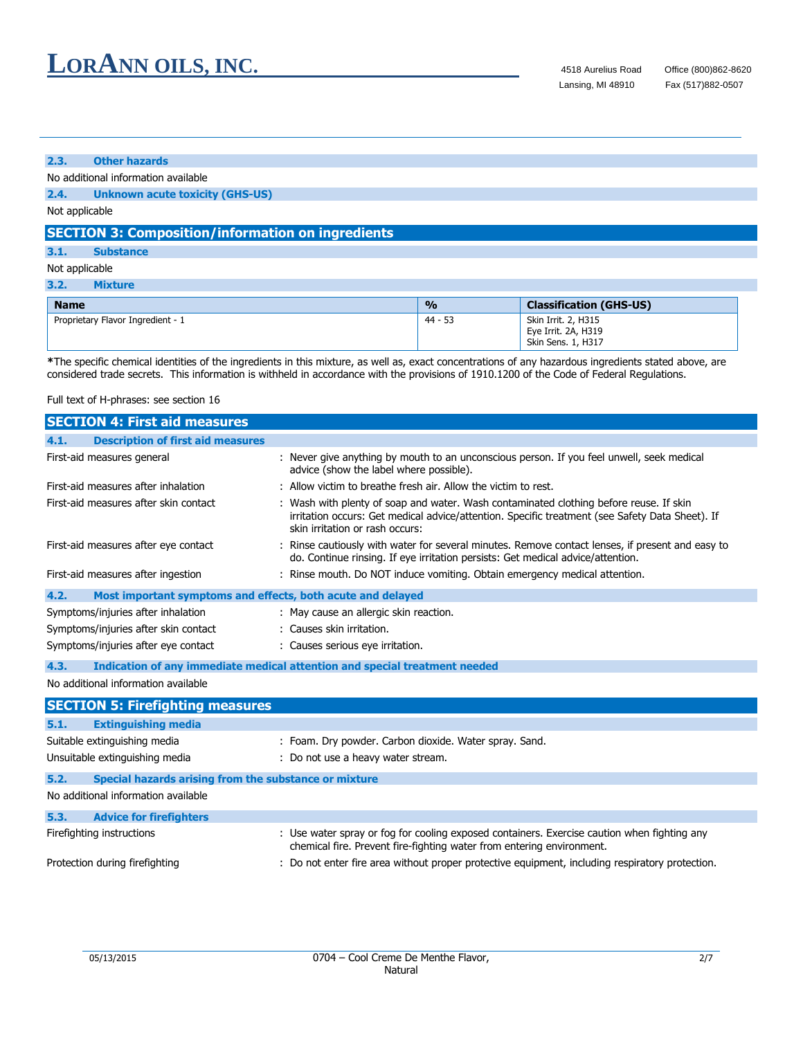#### **2.3. Other hazards**

No additional information available

**2.4. Unknown acute toxicity (GHS-US)**

Not applicable

### **SECTION 3: Composition/information on ingredients**

**3.1. Substance**

### Not applicable

| 3.2.<br>Mixture                   |               |                                                                  |
|-----------------------------------|---------------|------------------------------------------------------------------|
| <b>Name</b>                       | $\frac{0}{0}$ | <b>Classification (GHS-US)</b>                                   |
| Proprietary Flavor Ingredient - 1 | 44 - 53       | Skin Irrit. 2, H315<br>Eye Irrit. 2A, H319<br>Skin Sens. 1, H317 |

**\***The specific chemical identities of the ingredients in this mixture, as well as, exact concentrations of any hazardous ingredients stated above, are considered trade secrets. This information is withheld in accordance with the provisions of 1910.1200 of the Code of Federal Regulations.

Full text of H-phrases: see section 16

| <b>SECTION 4: First aid measures</b>                                |                                                                                                                                                                                                                              |
|---------------------------------------------------------------------|------------------------------------------------------------------------------------------------------------------------------------------------------------------------------------------------------------------------------|
| <b>Description of first aid measures</b><br>4.1.                    |                                                                                                                                                                                                                              |
| First-aid measures general                                          | : Never give anything by mouth to an unconscious person. If you feel unwell, seek medical<br>advice (show the label where possible).                                                                                         |
| First-aid measures after inhalation                                 | : Allow victim to breathe fresh air. Allow the victim to rest.                                                                                                                                                               |
| First-aid measures after skin contact                               | : Wash with plenty of soap and water. Wash contaminated clothing before reuse. If skin<br>irritation occurs: Get medical advice/attention. Specific treatment (see Safety Data Sheet). If<br>skin irritation or rash occurs: |
| First-aid measures after eye contact                                | : Rinse cautiously with water for several minutes. Remove contact lenses, if present and easy to<br>do. Continue rinsing. If eye irritation persists: Get medical advice/attention.                                          |
| First-aid measures after ingestion                                  | : Rinse mouth. Do NOT induce vomiting. Obtain emergency medical attention.                                                                                                                                                   |
| Most important symptoms and effects, both acute and delayed<br>4.2. |                                                                                                                                                                                                                              |
| Symptoms/injuries after inhalation                                  | : May cause an allergic skin reaction.                                                                                                                                                                                       |
| Symptoms/injuries after skin contact                                | : Causes skin irritation.                                                                                                                                                                                                    |
| Symptoms/injuries after eye contact                                 | : Causes serious eye irritation.                                                                                                                                                                                             |
| 4.3.                                                                | Indication of any immediate medical attention and special treatment needed                                                                                                                                                   |
| No additional information available                                 |                                                                                                                                                                                                                              |
| <b>SECTION 5: Firefighting measures</b>                             |                                                                                                                                                                                                                              |
| 5.1.<br><b>Extinguishing media</b>                                  |                                                                                                                                                                                                                              |
| Suitable extinguishing media                                        | : Foam. Dry powder. Carbon dioxide. Water spray. Sand.                                                                                                                                                                       |
| Unsuitable extinguishing media                                      | : Do not use a heavy water stream.                                                                                                                                                                                           |
| 5.2.<br>Special hazards arising from the substance or mixture       |                                                                                                                                                                                                                              |
| No additional information available                                 |                                                                                                                                                                                                                              |
| 5.3.<br><b>Advice for firefighters</b>                              |                                                                                                                                                                                                                              |
| Firefighting instructions                                           | : Use water spray or fog for cooling exposed containers. Exercise caution when fighting any<br>chemical fire. Prevent fire-fighting water from entering environment.                                                         |
| Protection during firefighting                                      | : Do not enter fire area without proper protective equipment, including respiratory protection.                                                                                                                              |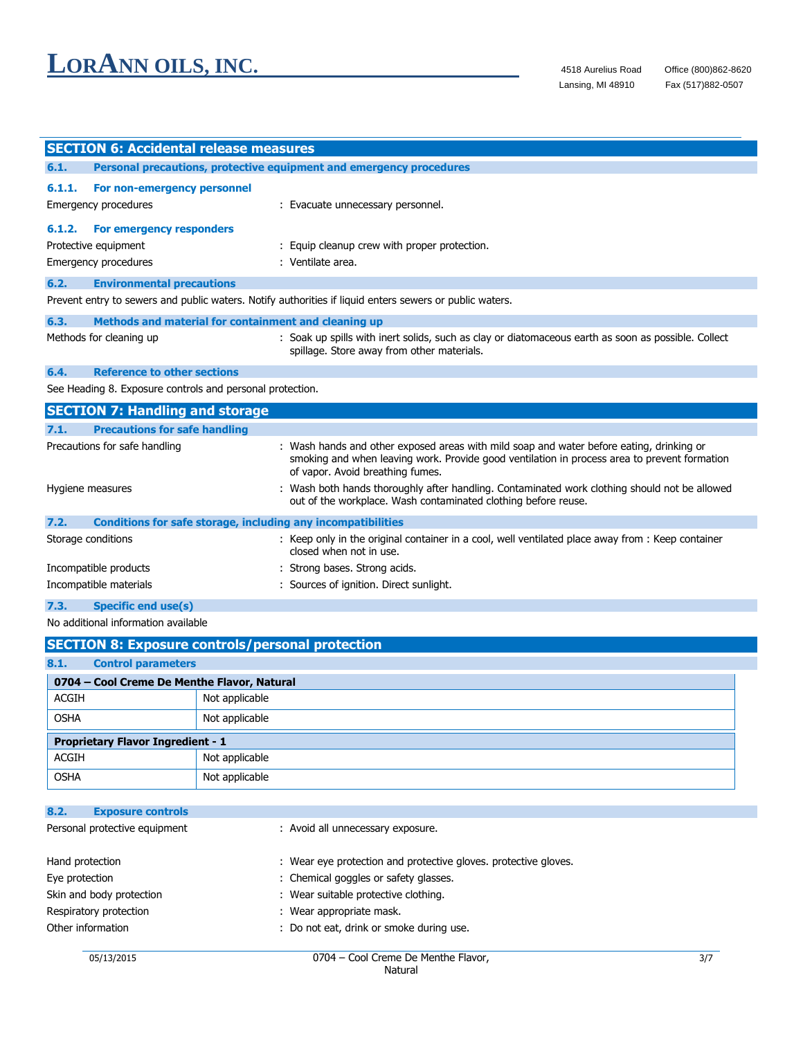|        | <b>SECTION 6: Accidental release measures</b>                       |                                                                                                                                                                                                                              |
|--------|---------------------------------------------------------------------|------------------------------------------------------------------------------------------------------------------------------------------------------------------------------------------------------------------------------|
| 6.1.   |                                                                     | Personal precautions, protective equipment and emergency procedures                                                                                                                                                          |
| 6.1.1. | For non-emergency personnel<br>Emergency procedures                 | : Evacuate unnecessary personnel.                                                                                                                                                                                            |
| 6.1.2. | For emergency responders                                            |                                                                                                                                                                                                                              |
|        | Protective equipment                                                | : Equip cleanup crew with proper protection.                                                                                                                                                                                 |
|        | <b>Emergency procedures</b>                                         | : Ventilate area.                                                                                                                                                                                                            |
| 6.2.   | <b>Environmental precautions</b>                                    |                                                                                                                                                                                                                              |
|        |                                                                     | Prevent entry to sewers and public waters. Notify authorities if liquid enters sewers or public waters.                                                                                                                      |
| 6.3.   | Methods and material for containment and cleaning up                |                                                                                                                                                                                                                              |
|        | Methods for cleaning up                                             | : Soak up spills with inert solids, such as clay or diatomaceous earth as soon as possible. Collect<br>spillage. Store away from other materials.                                                                            |
| 6.4.   | <b>Reference to other sections</b>                                  |                                                                                                                                                                                                                              |
|        | See Heading 8. Exposure controls and personal protection.           |                                                                                                                                                                                                                              |
|        | <b>SECTION 7: Handling and storage</b>                              |                                                                                                                                                                                                                              |
| 7.1.   | <b>Precautions for safe handling</b>                                |                                                                                                                                                                                                                              |
|        | Precautions for safe handling                                       | : Wash hands and other exposed areas with mild soap and water before eating, drinking or<br>smoking and when leaving work. Provide good ventilation in process area to prevent formation<br>of vapor. Avoid breathing fumes. |
|        | Hygiene measures                                                    | : Wash both hands thoroughly after handling. Contaminated work clothing should not be allowed<br>out of the workplace. Wash contaminated clothing before reuse.                                                              |
| 7.2.   | <b>Conditions for safe storage, including any incompatibilities</b> |                                                                                                                                                                                                                              |
|        | Storage conditions                                                  | : Keep only in the original container in a cool, well ventilated place away from : Keep container<br>closed when not in use.                                                                                                 |
|        | Incompatible products                                               | : Strong bases. Strong acids.                                                                                                                                                                                                |
|        | Incompatible materials                                              | : Sources of ignition. Direct sunlight.                                                                                                                                                                                      |

**7.3. Specific end use(s)**

No additional information available

|                                          | <b>SECTION 8: Exposure controls/personal protection</b> |                |  |  |
|------------------------------------------|---------------------------------------------------------|----------------|--|--|
| 8.1.                                     | <b>Control parameters</b>                               |                |  |  |
|                                          | 0704 - Cool Creme De Menthe Flavor, Natural             |                |  |  |
| ACGIH                                    |                                                         | Not applicable |  |  |
| <b>OSHA</b>                              |                                                         | Not applicable |  |  |
| <b>Proprietary Flavor Ingredient - 1</b> |                                                         |                |  |  |
| ACGIH                                    |                                                         | Not applicable |  |  |
| <b>OSHA</b>                              |                                                         | Not applicable |  |  |

| 8.2.<br><b>Exposure controls</b> |                                                                 |
|----------------------------------|-----------------------------------------------------------------|
| Personal protective equipment    | : Avoid all unnecessary exposure.                               |
| Hand protection                  | : Wear eye protection and protective gloves. protective gloves. |
| Eye protection                   | : Chemical goggles or safety glasses.                           |
| Skin and body protection         | : Wear suitable protective clothing.                            |
| Respiratory protection           | : Wear appropriate mask.                                        |
| Other information                | : Do not eat, drink or smoke during use.                        |
|                                  |                                                                 |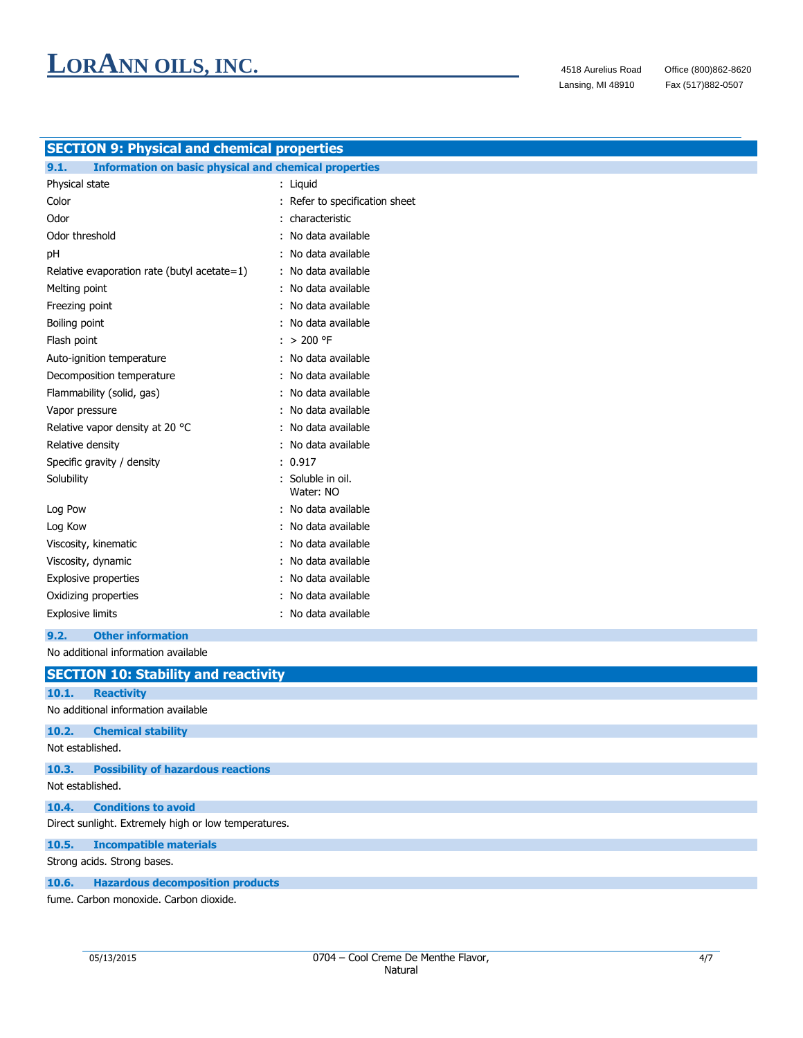Fax (517)882-0507

| <b>SECTION 9: Physical and chemical properties</b>                   |                                |  |  |  |
|----------------------------------------------------------------------|--------------------------------|--|--|--|
| 9.1.<br><b>Information on basic physical and chemical properties</b> |                                |  |  |  |
| Physical state                                                       | : Liquid                       |  |  |  |
| Color                                                                | : Refer to specification sheet |  |  |  |
| Odor                                                                 | characteristic                 |  |  |  |
| Odor threshold                                                       | No data available              |  |  |  |
| рH                                                                   | : No data available            |  |  |  |
| Relative evaporation rate (butyl acetate=1)                          | : No data available            |  |  |  |
| Melting point                                                        | No data available              |  |  |  |
| Freezing point                                                       | : No data available            |  |  |  |
| Boiling point                                                        | No data available              |  |  |  |
| Flash point                                                          | $: > 200$ °F                   |  |  |  |
| Auto-ignition temperature                                            | : No data available            |  |  |  |
| Decomposition temperature                                            | No data available              |  |  |  |
| Flammability (solid, gas)                                            | No data available              |  |  |  |
| Vapor pressure                                                       | No data available              |  |  |  |
| Relative vapor density at 20 °C                                      | : No data available            |  |  |  |
| Relative density                                                     | : No data available            |  |  |  |
| Specific gravity / density                                           | : 0.917                        |  |  |  |
| Solubility                                                           | Soluble in oil.<br>Water: NO   |  |  |  |
| Log Pow                                                              | No data available              |  |  |  |
| Log Kow                                                              | No data available              |  |  |  |
| Viscosity, kinematic                                                 | No data available              |  |  |  |
| Viscosity, dynamic                                                   | No data available              |  |  |  |
| <b>Explosive properties</b>                                          | No data available              |  |  |  |
| Oxidizing properties                                                 | No data available              |  |  |  |
| <b>Explosive limits</b>                                              | : No data available            |  |  |  |
| <b>Other information</b><br>9.2.                                     |                                |  |  |  |
| No additional information available                                  |                                |  |  |  |
| <b>SECTION 10: Stability and reactivity</b>                          |                                |  |  |  |
| <b>Reactivity</b><br>10.1.                                           |                                |  |  |  |
| No additional information available                                  |                                |  |  |  |
| <b>Chemical stability</b><br>10.2.                                   |                                |  |  |  |
| Not established.                                                     |                                |  |  |  |
| <b>Possibility of hazardous reactions</b><br>10.3.                   |                                |  |  |  |
| Not established.                                                     |                                |  |  |  |
| <b>Conditions to avoid</b><br>10.4.                                  |                                |  |  |  |
| Direct sunlight. Extremely high or low temperatures.                 |                                |  |  |  |
| <b>Incompatible materials</b><br>10.5.                               |                                |  |  |  |
| Strong acids. Strong bases.                                          |                                |  |  |  |

### **10.6. Hazardous decomposition products**

fume. Carbon monoxide. Carbon dioxide.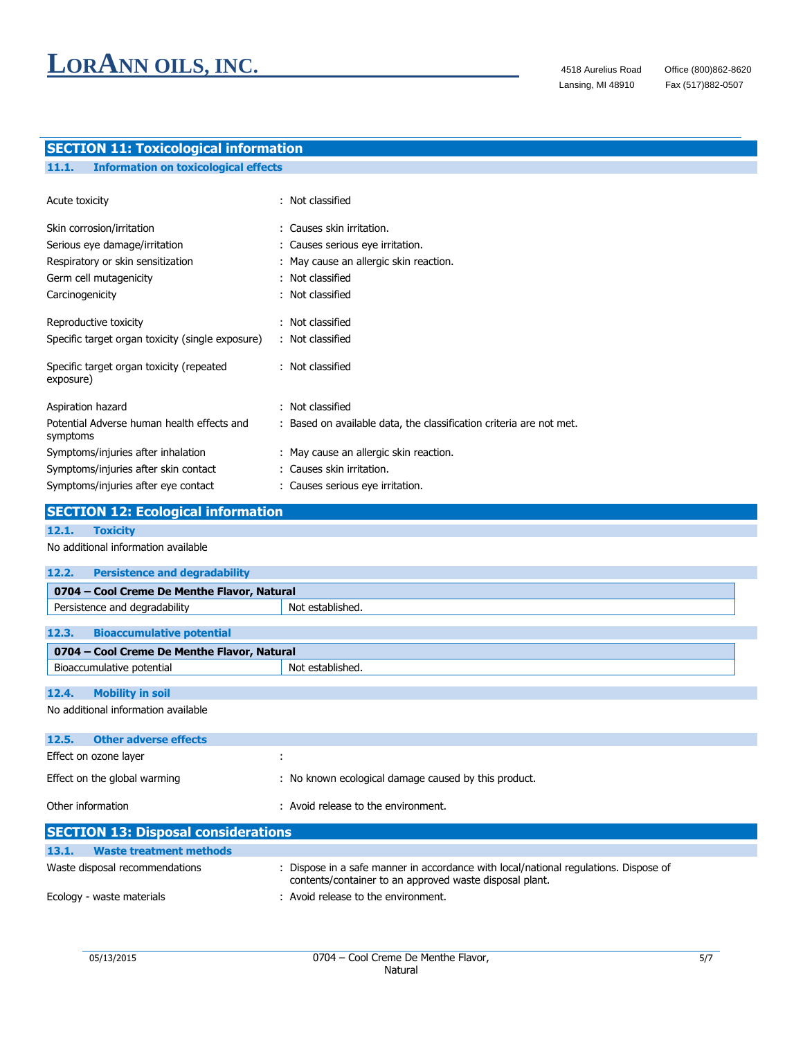## **SECTION 11: Toxicological information**

| <b>Information on toxicological effects</b> |
|---------------------------------------------|
|---------------------------------------------|

| Acute toxicity                                         | : Not classified                                                    |
|--------------------------------------------------------|---------------------------------------------------------------------|
| Skin corrosion/irritation                              | : Causes skin irritation.                                           |
| Serious eye damage/irritation                          | : Causes serious eye irritation.                                    |
| Respiratory or skin sensitization                      | : May cause an allergic skin reaction.                              |
| Germ cell mutagenicity                                 | : Not classified                                                    |
| Carcinogenicity                                        | : Not classified                                                    |
| Reproductive toxicity                                  | : Not classified                                                    |
| Specific target organ toxicity (single exposure)       | : Not classified                                                    |
| Specific target organ toxicity (repeated<br>exposure)  | : Not classified                                                    |
| Aspiration hazard                                      | : Not classified                                                    |
| Potential Adverse human health effects and<br>symptoms | : Based on available data, the classification criteria are not met. |
| Symptoms/injuries after inhalation                     | : May cause an allergic skin reaction.                              |
| Symptoms/injuries after skin contact                   | : Causes skin irritation.                                           |
| Symptoms/injuries after eye contact                    | : Causes serious eye irritation.                                    |

## **SECTION 12: Ecological information**

### **12.1. Toxicity**

### No additional information available

| 0704 – Cool Creme De Menthe Flavor, Natural |  |  |  |
|---------------------------------------------|--|--|--|
| Not established.                            |  |  |  |
|                                             |  |  |  |
| 0704 - Cool Creme De Menthe Flavor, Natural |  |  |  |
| Not established.                            |  |  |  |
|                                             |  |  |  |

### **12.4. Mobility in soil**

No additional information available

| <b>SECTION 13: Disposal considerations</b> |                                                      |  |
|--------------------------------------------|------------------------------------------------------|--|
| Other information                          | : Avoid release to the environment.                  |  |
| Effect on the global warming               | : No known ecological damage caused by this product. |  |
| Effect on ozone layer                      |                                                      |  |
| <b>Other adverse effects</b><br>12.5.      |                                                      |  |
|                                            |                                                      |  |

| 13.1.<br>Waste treatment methods |                                                                                                                                                 |
|----------------------------------|-------------------------------------------------------------------------------------------------------------------------------------------------|
| Waste disposal recommendations   | : Dispose in a safe manner in accordance with local/national regulations. Dispose of<br>contents/container to an approved waste disposal plant. |
| Ecology - waste materials        | : Avoid release to the environment.                                                                                                             |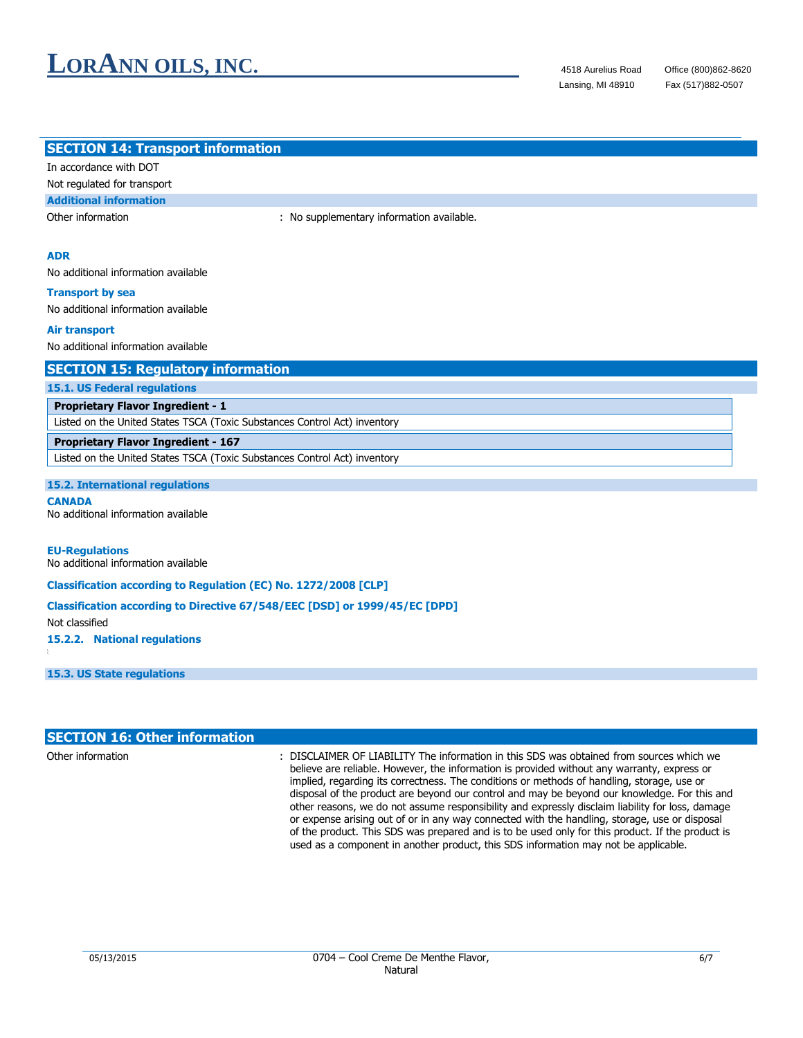Fax (517)882-0507

| <b>SECTION 14: Transport information</b>                                  |                                                                            |  |  |
|---------------------------------------------------------------------------|----------------------------------------------------------------------------|--|--|
| In accordance with DOT                                                    |                                                                            |  |  |
| Not regulated for transport                                               |                                                                            |  |  |
| <b>Additional information</b>                                             |                                                                            |  |  |
| Other information                                                         | : No supplementary information available.                                  |  |  |
|                                                                           |                                                                            |  |  |
| <b>ADR</b>                                                                |                                                                            |  |  |
| No additional information available                                       |                                                                            |  |  |
| <b>Transport by sea</b>                                                   |                                                                            |  |  |
| No additional information available                                       |                                                                            |  |  |
| <b>Air transport</b>                                                      |                                                                            |  |  |
| No additional information available                                       |                                                                            |  |  |
| <b>SECTION 15: Regulatory information</b>                                 |                                                                            |  |  |
| <b>15.1. US Federal regulations</b>                                       |                                                                            |  |  |
| <b>Proprietary Flavor Ingredient - 1</b>                                  |                                                                            |  |  |
| Listed on the United States TSCA (Toxic Substances Control Act) inventory |                                                                            |  |  |
| <b>Proprietary Flavor Ingredient - 167</b>                                |                                                                            |  |  |
| Listed on the United States TSCA (Toxic Substances Control Act) inventory |                                                                            |  |  |
| <b>15.2. International regulations</b>                                    |                                                                            |  |  |
| <b>CANADA</b>                                                             |                                                                            |  |  |
| No additional information available                                       |                                                                            |  |  |
|                                                                           |                                                                            |  |  |
| <b>EU-Regulations</b><br>No additional information available              |                                                                            |  |  |
|                                                                           |                                                                            |  |  |
| <b>Classification according to Regulation (EC) No. 1272/2008 [CLP]</b>    |                                                                            |  |  |
| Not classified                                                            | Classification according to Directive 67/548/EEC [DSD] or 1999/45/EC [DPD] |  |  |
| 15.2.2. National regulations                                              |                                                                            |  |  |
|                                                                           |                                                                            |  |  |
| 15.3. US State regulations                                                |                                                                            |  |  |
|                                                                           |                                                                            |  |  |
|                                                                           |                                                                            |  |  |
|                                                                           |                                                                            |  |  |

| <b>SECTION 16: Other information</b> |                                                                                                                                                                                                                                                                                                                                                                                                                                                                                                                                                                                                                                                                                                                                                                                       |
|--------------------------------------|---------------------------------------------------------------------------------------------------------------------------------------------------------------------------------------------------------------------------------------------------------------------------------------------------------------------------------------------------------------------------------------------------------------------------------------------------------------------------------------------------------------------------------------------------------------------------------------------------------------------------------------------------------------------------------------------------------------------------------------------------------------------------------------|
| Other information                    | : DISCLAIMER OF LIABILITY The information in this SDS was obtained from sources which we<br>believe are reliable. However, the information is provided without any warranty, express or<br>implied, regarding its correctness. The conditions or methods of handling, storage, use or<br>disposal of the product are beyond our control and may be beyond our knowledge. For this and<br>other reasons, we do not assume responsibility and expressly disclaim liability for loss, damage<br>or expense arising out of or in any way connected with the handling, storage, use or disposal<br>of the product. This SDS was prepared and is to be used only for this product. If the product is<br>used as a component in another product, this SDS information may not be applicable. |